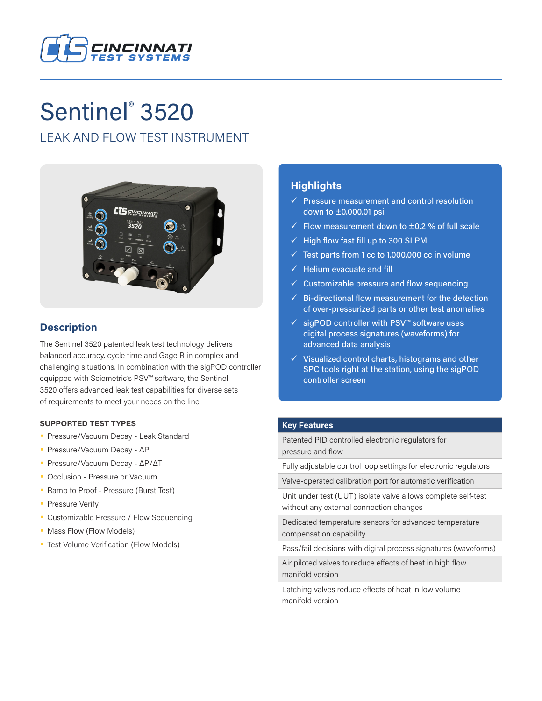

# Sentinel<sup>®</sup> 3520

# LEAK AND FLOW TEST INSTRUMENT



# **Description**

The Sentinel 3520 patented leak test technology delivers balanced accuracy, cycle time and Gage R in complex and challenging situations. In combination with the sigPOD controller equipped with Sciemetric's PSV™ software, the Sentinel 3520 offers advanced leak test capabilities for diverse sets of requirements to meet your needs on the line.

#### **SUPPORTED TEST TYPES**

- Pressure/Vacuum Decay Leak Standard
- Pressure/Vacuum Decay ΔP
- Pressure/Vacuum Decay ΔP/ΔT
- Occlusion Pressure or Vacuum
- Ramp to Proof Pressure (Burst Test)
- **Pressure Verify**
- Customizable Pressure / Flow Sequencing
- Mass Flow (Flow Models)
- Test Volume Verification (Flow Models)

## **Highlights**

- $\checkmark$  Pressure measurement and control resolution down to ±0.000,01 psi
- $\checkmark$  Flow measurement down to  $\pm$ 0.2 % of full scale
- $\checkmark$  High flow fast fill up to 300 SLPM
- $\checkmark$  Test parts from 1 cc to 1,000,000 cc in volume
- $\checkmark$  Helium evacuate and fill
- $\checkmark$  Customizable pressure and flow sequencing
- $\checkmark$  Bi-directional flow measurement for the detection of over-pressurized parts or other test anomalies
- 9 sigPOD controller with PSV™ software uses digital process signatures (waveforms) for advanced data analysis
- $\checkmark$  Visualized control charts, histograms and other SPC tools right at the station, using the sigPOD controller screen

#### **Key Features**

Patented PID controlled electronic regulators for pressure and flow

Fully adjustable control loop settings for electronic regulators

Valve-operated calibration port for automatic verification

Unit under test (UUT) isolate valve allows complete self-test without any external connection changes

Dedicated temperature sensors for advanced temperature compensation capability

Pass/fail decisions with digital process signatures (waveforms)

Air piloted valves to reduce effects of heat in high flow manifold version

Latching valves reduce effects of heat in low volume manifold version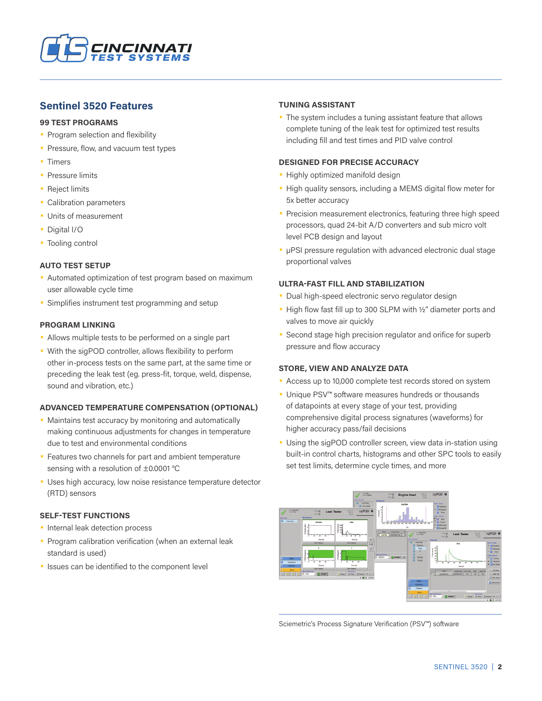

### **Sentinel 3520 Features**

#### **99 TEST PROGRAMS**

- Program selection and flexibility
- Pressure, flow, and vacuum test types
- Timers
- **Pressure limits**
- Reject limits
- Calibration parameters
- Units of measurement
- Digital I/O
- Tooling control

#### **AUTO TEST SETUP**

- Automated optimization of test program based on maximum user allowable cycle time
- Simplifies instrument test programming and setup

#### **PROGRAM LINKING**

- Allows multiple tests to be performed on a single part
- With the sigPOD controller, allows flexibility to perform other in-process tests on the same part, at the same time or preceding the leak test (eg. press-fit, torque, weld, dispense, sound and vibration, etc.)

#### **ADVANCED TEMPERATURE COMPENSATION (OPTIONAL)**

- Maintains test accuracy by monitoring and automatically making continuous adjustments for changes in temperature due to test and environmental conditions
- Features two channels for part and ambient temperature sensing with a resolution of ±0.0001 °C
- Uses high accuracy, low noise resistance temperature detector (RTD) sensors

#### **SELF-TEST FUNCTIONS**

- Internal leak detection process
- **Program calibration verification (when an external leak** standard is used)
- Issues can be identified to the component level

#### **TUNING ASSISTANT**

• The system includes a tuning assistant feature that allows complete tuning of the leak test for optimized test results including fill and test times and PID valve control

#### **DESIGNED FOR PRECISE ACCURACY**

- Highly optimized manifold design
- High quality sensors, including a MEMS digital flow meter for 5x better accuracy
- Precision measurement electronics, featuring three high speed processors, quad 24-bit A/D converters and sub micro volt level PCB design and layout
- µPSI pressure regulation with advanced electronic dual stage proportional valves

#### **ULTRA-FAST FILL AND STABILIZATION**

- Dual high-speed electronic servo regulator design
- High flow fast fill up to 300 SLPM with ½" diameter ports and valves to move air quickly
- Second stage high precision regulator and orifice for superb pressure and flow accuracy

#### **STORE, VIEW AND ANALYZE DATA**

- Access up to 10,000 complete test records stored on system
- Unique PSV™ software measures hundreds or thousands of datapoints at every stage of your test, providing comprehensive digital process signatures (waveforms) for higher accuracy pass/fail decisions
- Using the sigPOD controller screen, view data in-station using built-in control charts, histograms and other SPC tools to easily set test limits, determine cycle times, and more



Sciemetric's Process Signature Verification (PSV™) software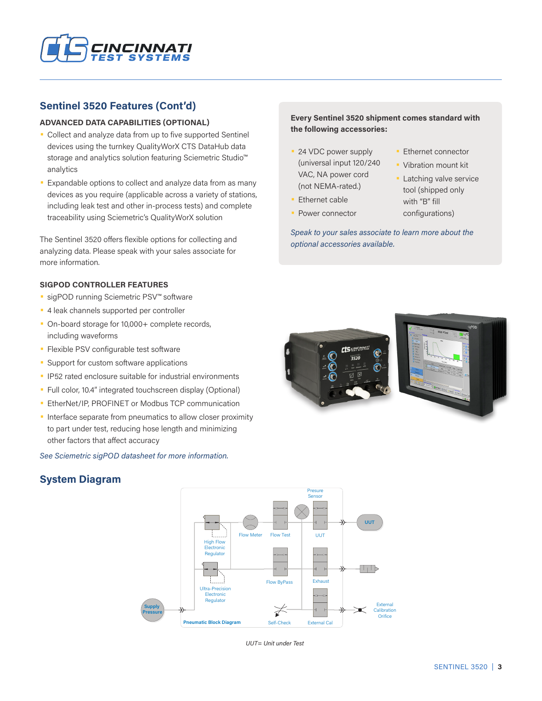

## **Sentinel 3520 Features (Cont'd)**

#### **ADVANCED DATA CAPABILITIES (OPTIONAL)**

- Collect and analyze data from up to five supported Sentinel devices using the turnkey QualityWorX CTS DataHub data storage and analytics solution featuring Sciemetric Studio™ analytics
- Expandable options to collect and analyze data from as many devices as you require (applicable across a variety of stations, including leak test and other in-process tests) and complete traceability using Sciemetric's QualityWorX solution

The Sentinel 3520 offers flexible options for collecting and analyzing data. Please speak with your sales associate for more information.

#### **SIGPOD CONTROLLER FEATURES**

- sigPOD running Sciemetric PSV™ software
- 4 leak channels supported per controller
- On-board storage for 10,000+ complete records, including waveforms
- Flexible PSV configurable test software
- Support for custom software applications
- IP52 rated enclosure suitable for industrial environments
- Full color, 10.4" integrated touchscreen display (Optional)
- EtherNet/IP, PROFINET or Modbus TCP communication
- **Interface separate from pneumatics to allow closer proximity** to part under test, reducing hose length and minimizing other factors that affect accuracy

*See Sciemetric sigPOD datasheet for more information.*

## **System Diagram**



*UUT= Unit under Test*

#### **Every Sentinel 3520 shipment comes standard with the following accessories:**

- 24 VDC power supply (universal input 120/240 VAC, NA power cord (not NEMA-rated.)
- Ethernet cable
- Power connector
- Ethernet connector
- Vibration mount kit
- **Latching valve service** tool (shipped only with "B" fill configurations)

*Speak to your sales associate to learn more about the optional accessories available.*

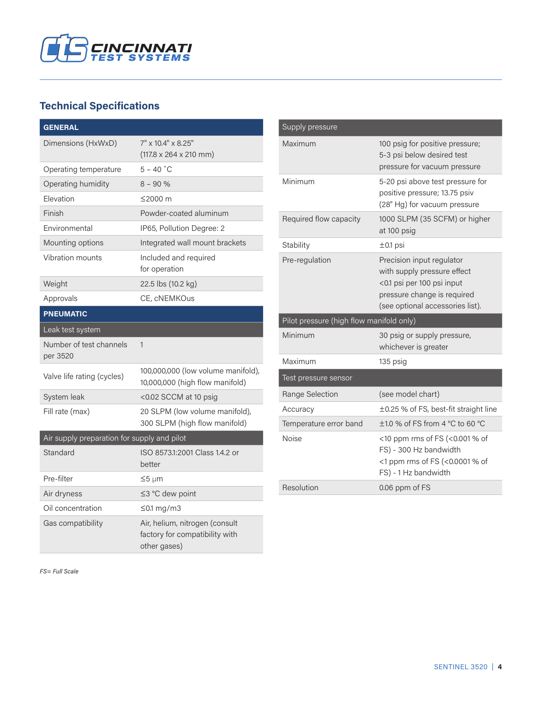

# **Technical Specifications**

| <b>GENERAL</b>                              |                                                                                  |  |  |  |
|---------------------------------------------|----------------------------------------------------------------------------------|--|--|--|
| Dimensions (HxWxD)                          | 7" x 10.4" x 8.25"                                                               |  |  |  |
|                                             | $(117.8 \times 264 \times 210$ mm)                                               |  |  |  |
| Operating temperature                       | $5 - 40 °C$                                                                      |  |  |  |
| Operating humidity                          | $8 - 90%$                                                                        |  |  |  |
| Elevation                                   | ≤2000 m                                                                          |  |  |  |
| Finish                                      | Powder-coated aluminum                                                           |  |  |  |
| Environmental                               | IP65, Pollution Degree: 2                                                        |  |  |  |
| Mounting options                            | Integrated wall mount brackets                                                   |  |  |  |
| Vibration mounts                            | Included and required<br>for operation                                           |  |  |  |
| Weight                                      | 22.5 lbs (10.2 kg)                                                               |  |  |  |
| Approvals                                   | CE, cNEMKOus                                                                     |  |  |  |
| <b>PNEUMATIC</b>                            |                                                                                  |  |  |  |
| Leak test system                            |                                                                                  |  |  |  |
| Number of test channels<br>per 3520         | 1                                                                                |  |  |  |
| Valve life rating (cycles)                  | 100,000,000 (low volume manifold),<br>10,000,000 (high flow manifold)            |  |  |  |
| System leak                                 | <0.02 SCCM at 10 psig                                                            |  |  |  |
| Fill rate (max)                             | 20 SLPM (low volume manifold),<br>300 SLPM (high flow manifold)                  |  |  |  |
| Air supply preparation for supply and pilot |                                                                                  |  |  |  |
| Standard                                    | ISO 8573.1:2001 Class 1.4.2 or<br>better                                         |  |  |  |
| Pre-filter                                  | ≤5 μm                                                                            |  |  |  |
| Air dryness                                 | ≤3 °C dew point                                                                  |  |  |  |
| Oil concentration                           | ≤0.1 mg/m3                                                                       |  |  |  |
| Gas compatibility                           | Air, helium, nitrogen (consult<br>factory for compatibility with<br>other gases) |  |  |  |

| Supply pressure                          |                                                                                                                                                           |  |  |  |
|------------------------------------------|-----------------------------------------------------------------------------------------------------------------------------------------------------------|--|--|--|
| Maximum                                  | 100 psig for positive pressure;<br>5-3 psi below desired test<br>pressure for vacuum pressure                                                             |  |  |  |
| Minimum                                  | 5-20 psi above test pressure for<br>positive pressure; 13.75 psiv<br>(28" Hg) for vacuum pressure                                                         |  |  |  |
| Required flow capacity                   | 1000 SLPM (35 SCFM) or higher<br>at 100 psig                                                                                                              |  |  |  |
| Stability                                | $±0.1$ psi                                                                                                                                                |  |  |  |
| Pre-regulation                           | Precision input regulator<br>with supply pressure effect<br><0.1 psi per 100 psi input<br>pressure change is required<br>(see optional accessories list). |  |  |  |
| Pilot pressure (high flow manifold only) |                                                                                                                                                           |  |  |  |
| Minimum                                  | 30 psig or supply pressure,<br>whichever is greater                                                                                                       |  |  |  |
| Maximum                                  | 135 psig                                                                                                                                                  |  |  |  |
| Test pressure sensor                     |                                                                                                                                                           |  |  |  |
| Range Selection                          | (see model chart)                                                                                                                                         |  |  |  |
| Accuracy                                 | ±0.25 % of FS, best-fit straight line                                                                                                                     |  |  |  |
| Temperature error band                   | $\pm$ 1.0 % of FS from 4 °C to 60 °C                                                                                                                      |  |  |  |
| <b>Noise</b>                             | <10 ppm rms of FS (<0.001 % of<br>FS) - 300 Hz bandwidth<br><1 ppm rms of FS (<0.0001 % of<br>FS) - 1 Hz bandwidth                                        |  |  |  |
| Resolution                               | 0.06 ppm of FS                                                                                                                                            |  |  |  |

*FS= Full Scale*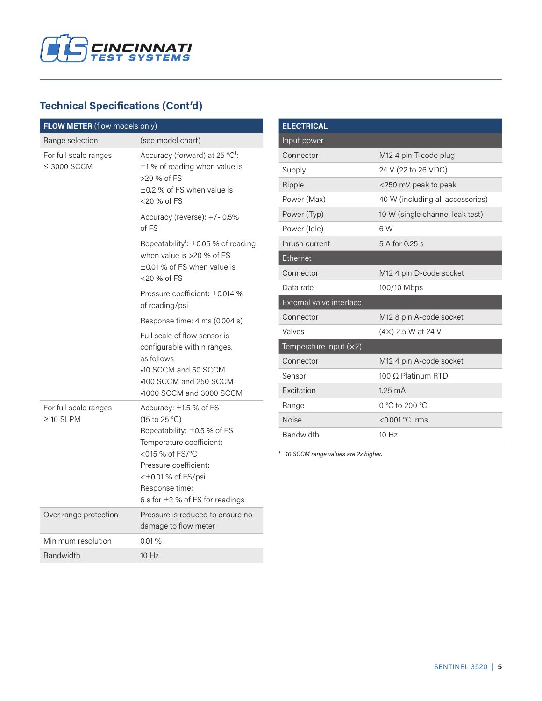

# **Technical Specifications (Cont'd)**

| FLOW METER (flow models only)             |                                                                                                                                                                                                                                      |
|-------------------------------------------|--------------------------------------------------------------------------------------------------------------------------------------------------------------------------------------------------------------------------------------|
| Range selection                           | (see model chart)                                                                                                                                                                                                                    |
| For full scale ranges<br>$\leq$ 3000 SCCM | Accuracy (forward) at 25 °C <sup>1</sup> :<br>±1% of reading when value is<br>>20 % of FS<br>$\pm$ 0.2 % of FS when value is<br><20 % of FS                                                                                          |
|                                           | Accuracy (reverse): +/- 0.5%<br>of FS                                                                                                                                                                                                |
|                                           | Repeatability <sup>1</sup> : $\pm$ 0.05 % of reading<br>when value is >20 % of FS<br>±0.01 % of FS when value is<br><20 % of FS                                                                                                      |
|                                           | Pressure coefficient: ±0.014 %<br>of reading/psi                                                                                                                                                                                     |
|                                           | Response time: 4 ms (0.004 s)                                                                                                                                                                                                        |
|                                           | Full scale of flow sensor is<br>configurable within ranges,<br>as follows:<br>-10 SCCM and 50 SCCM<br>•100 SCCM and 250 SCCM<br>-1000 SCCM and 3000 SCCM                                                                             |
| For full scale ranges<br>$\geq$ 10 SLPM   | Accuracy: $\pm$ 1.5 % of FS<br>(15 to 25 °C)<br>Repeatability: ±0.5 % of FS<br>Temperature coefficient:<br><0.15 % of FS/°C<br>Pressure coefficient:<br>$\lt$ ±0.01 % of FS/psi<br>Response time:<br>6 s for ±2 % of FS for readings |
| Over range protection                     | Pressure is reduced to ensure no<br>damage to flow meter                                                                                                                                                                             |
| Minimum resolution                        | 0.01%                                                                                                                                                                                                                                |
| <b>Bandwidth</b>                          | 10Hz                                                                                                                                                                                                                                 |

| <b>ELECTRICAL</b>        |                                   |  |
|--------------------------|-----------------------------------|--|
| Input power              |                                   |  |
| Connector                | M <sub>12</sub> 4 pin T-code plug |  |
| Supply                   | 24 V (22 to 26 VDC)               |  |
| Ripple                   | <250 mV peak to peak              |  |
| Power (Max)              | 40 W (including all accessories)  |  |
| Power (Typ)              | 10 W (single channel leak test)   |  |
| Power (Idle)             | 6 W                               |  |
| Inrush current           | 5 A for 0.25 s                    |  |
| Ethernet                 |                                   |  |
| Connector                | M12 4 pin D-code socket           |  |
| Data rate                | 100/10 Mbps                       |  |
| External valve interface |                                   |  |
| Connector                | M12 8 pin A-code socket           |  |
| Valves                   | $(4x)$ 2.5 W at 24 V              |  |
| Temperature input $(x2)$ |                                   |  |
| Connector                | M12 4 pin A-code socket           |  |
| Sensor                   | 100 Ω Platinum RTD                |  |
| Excitation               | $1.25 \text{ mA}$                 |  |
| Range                    | 0 °C to 200 °C                    |  |
| <b>Noise</b>             | <0.001 °C rms                     |  |
| Bandwidth                | $10$ Hz                           |  |

*¹ 10 SCCM range values are 2x higher.*